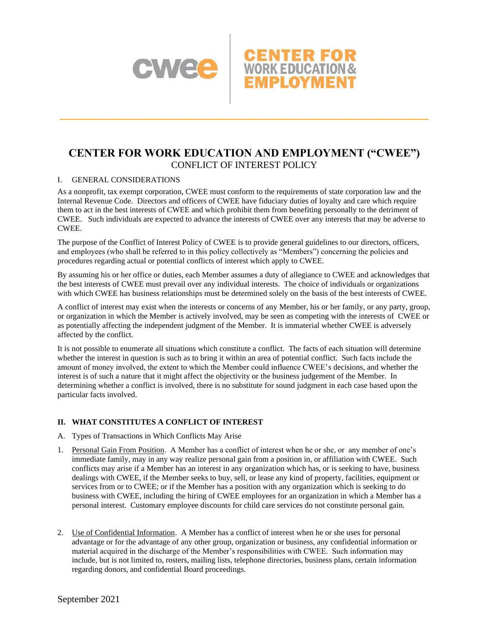

### **CENTER FOR WORK EDUCATION AND EMPLOYMENT ("CWEE")** CONFLICT OF INTEREST POLICY

**\_\_\_\_\_\_\_\_\_\_\_\_\_\_\_\_\_\_\_\_\_\_\_\_\_\_\_\_\_\_\_\_\_\_\_\_\_\_\_\_\_\_\_\_\_\_\_\_\_\_\_\_\_\_\_\_\_\_\_\_\_\_\_\_\_\_**

#### I. GENERAL CONSIDERATIONS

As a nonprofit, tax exempt corporation, CWEE must conform to the requirements of state corporation law and the Internal Revenue Code. Directors and officers of CWEE have fiduciary duties of loyalty and care which require them to act in the best interests of CWEE and which prohibit them from benefiting personally to the detriment of CWEE. Such individuals are expected to advance the interests of CWEE over any interests that may be adverse to CWEE.

The purpose of the Conflict of Interest Policy of CWEE is to provide general guidelines to our directors, officers, and employees (who shall be referred to in this policy collectively as "Members") concerning the policies and procedures regarding actual or potential conflicts of interest which apply to CWEE.

By assuming his or her office or duties, each Member assumes a duty of allegiance to CWEE and acknowledges that the best interests of CWEE must prevail over any individual interests. The choice of individuals or organizations with which CWEE has business relationships must be determined solely on the basis of the best interests of CWEE.

A conflict of interest may exist when the interests or concerns of any Member, his or her family, or any party, group, or organization in which the Member is actively involved, may be seen as competing with the interests of CWEE or as potentially affecting the independent judgment of the Member. It is immaterial whether CWEE is adversely affected by the conflict.

It is not possible to enumerate all situations which constitute a conflict. The facts of each situation will determine whether the interest in question is such as to bring it within an area of potential conflict. Such facts include the amount of money involved, the extent to which the Member could influence CWEE's decisions, and whether the interest is of such a nature that it might affect the objectivity or the business judgement of the Member. In determining whether a conflict is involved, there is no substitute for sound judgment in each case based upon the particular facts involved.

#### **II. WHAT CONSTITUTES A CONFLICT OF INTEREST**

- A. Types of Transactions in Which Conflicts May Arise
- 1. Personal Gain From Position. A Member has a conflict of interest when he or she, or any member of one's immediate family, may in any way realize personal gain from a position in, or affiliation with CWEE. Such conflicts may arise if a Member has an interest in any organization which has, or is seeking to have, business dealings with CWEE, if the Member seeks to buy, sell, or lease any kind of property, facilities, equipment or services from or to CWEE; or if the Member has a position with any organization which is seeking to do business with CWEE, including the hiring of CWEE employees for an organization in which a Member has a personal interest. Customary employee discounts for child care services do not constitute personal gain.
- 2. Use of Confidential Information. A Member has a conflict of interest when he or she uses for personal advantage or for the advantage of any other group, organization or business, any confidential information or material acquired in the discharge of the Member's responsibilities with CWEE. Such information may include, but is not limited to, rosters, mailing lists, telephone directories, business plans, certain information regarding donors, and confidential Board proceedings.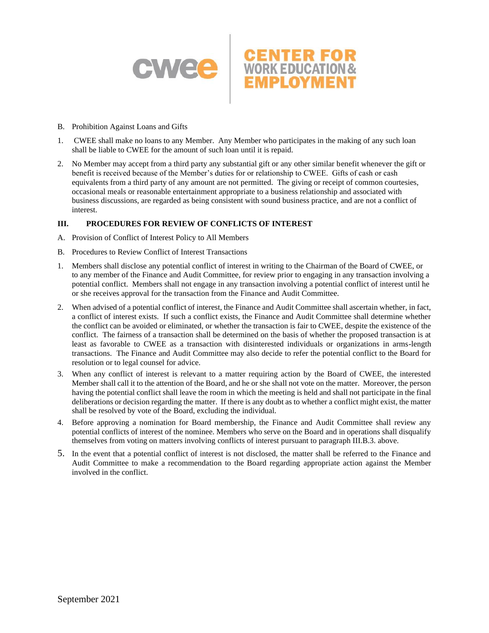

- B. Prohibition Against Loans and Gifts
- 1. CWEE shall make no loans to any Member. Any Member who participates in the making of any such loan shall be liable to CWEE for the amount of such loan until it is repaid.
- 2. No Member may accept from a third party any substantial gift or any other similar benefit whenever the gift or benefit is received because of the Member's duties for or relationship to CWEE. Gifts of cash or cash equivalents from a third party of any amount are not permitted. The giving or receipt of common courtesies, occasional meals or reasonable entertainment appropriate to a business relationship and associated with business discussions, are regarded as being consistent with sound business practice, and are not a conflict of interest.

#### **III. PROCEDURES FOR REVIEW OF CONFLICTS OF INTEREST**

- A. Provision of Conflict of Interest Policy to All Members
- B. Procedures to Review Conflict of Interest Transactions
- 1. Members shall disclose any potential conflict of interest in writing to the Chairman of the Board of CWEE, or to any member of the Finance and Audit Committee, for review prior to engaging in any transaction involving a potential conflict. Members shall not engage in any transaction involving a potential conflict of interest until he or she receives approval for the transaction from the Finance and Audit Committee.
- 2. When advised of a potential conflict of interest, the Finance and Audit Committee shall ascertain whether, in fact, a conflict of interest exists. If such a conflict exists, the Finance and Audit Committee shall determine whether the conflict can be avoided or eliminated, or whether the transaction is fair to CWEE, despite the existence of the conflict. The fairness of a transaction shall be determined on the basis of whether the proposed transaction is at least as favorable to CWEE as a transaction with disinterested individuals or organizations in arms-length transactions. The Finance and Audit Committee may also decide to refer the potential conflict to the Board for resolution or to legal counsel for advice.
- 3. When any conflict of interest is relevant to a matter requiring action by the Board of CWEE, the interested Member shall call it to the attention of the Board, and he or she shall not vote on the matter. Moreover, the person having the potential conflict shall leave the room in which the meeting is held and shall not participate in the final deliberations or decision regarding the matter. If there is any doubt as to whether a conflict might exist, the matter shall be resolved by vote of the Board, excluding the individual.
- 4. Before approving a nomination for Board membership, the Finance and Audit Committee shall review any potential conflicts of interest of the nominee. Members who serve on the Board and in operations shall disqualify themselves from voting on matters involving conflicts of interest pursuant to paragraph III.B.3. above.
- 5. In the event that a potential conflict of interest is not disclosed, the matter shall be referred to the Finance and Audit Committee to make a recommendation to the Board regarding appropriate action against the Member involved in the conflict.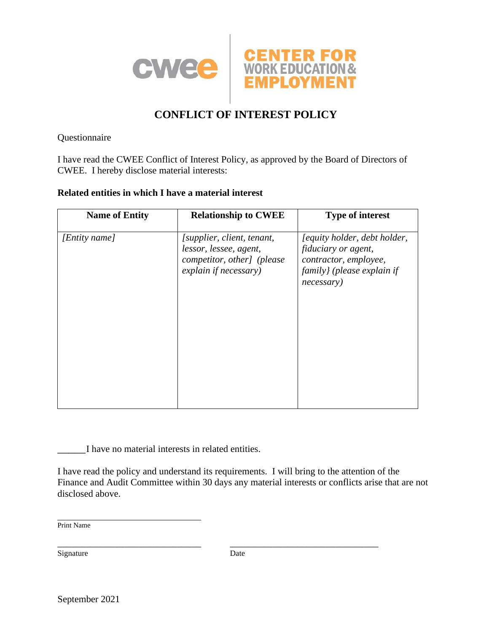

# **CONFLICT OF INTEREST POLICY**

Questionnaire

I have read the CWEE Conflict of Interest Policy, as approved by the Board of Directors of CWEE. I hereby disclose material interests:

### **Related entities in which I have a material interest**

| <b>Name of Entity</b> | <b>Relationship to CWEE</b>                                                                                 | <b>Type of interest</b>                                                                                                  |
|-----------------------|-------------------------------------------------------------------------------------------------------------|--------------------------------------------------------------------------------------------------------------------------|
| [Entity name]         | [supplier, client, tenant,<br>lessor, lessee, agent,<br>competitor, other] (please<br>explain if necessary) | [equity holder, debt holder,<br>fiduciary or agent,<br>contractor, employee,<br>family} (please explain if<br>necessary) |

\_\_\_\_\_I have no material interests in related entities.

I have read the policy and understand its requirements. I will bring to the attention of the Finance and Audit Committee within 30 days any material interests or conflicts arise that are not disclosed above.

Print Name

Signature Date

\_\_\_\_\_\_\_\_\_\_\_\_\_\_\_\_\_\_\_\_\_\_\_\_\_\_\_\_\_\_ \_\_\_\_\_\_\_\_\_\_\_\_\_\_\_\_\_\_\_\_\_\_\_\_\_\_\_\_\_\_\_